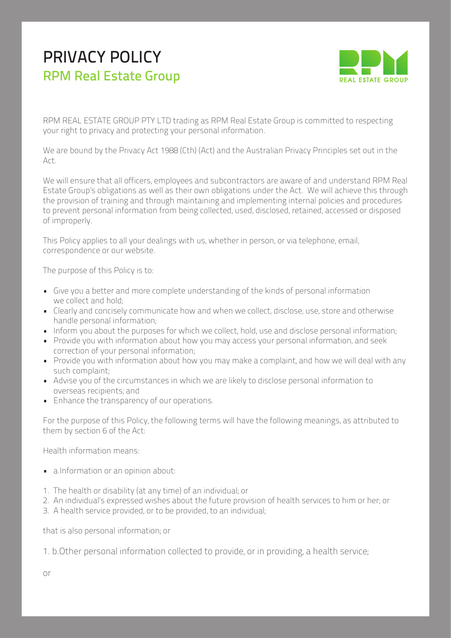# PRIVACY POLICY RPM Real Estate Group



RPM REAL ESTATE GROUP PTY LTD trading as RPM Real Estate Group is committed to respecting your right to privacy and protecting your personal information.

We are bound by the Privacy Act 1988 (Cth) (Act) and the Australian Privacy Principles set out in the Act.

We will ensure that all officers, employees and subcontractors are aware of and understand RPM Real Estate Group's obligations as well as their own obligations under the Act. We will achieve this through the provision of training and through maintaining and implementing internal policies and procedures to prevent personal information from being collected, used, disclosed, retained, accessed or disposed of improperly.

This Policy applies to all your dealings with us, whether in person, or via telephone, email, correspondence or our website.

The purpose of this Policy is to:

- Give you a better and more complete understanding of the kinds of personal information we collect and hold;
- Clearly and concisely communicate how and when we collect, disclose, use, store and otherwise handle personal information;
- Inform you about the purposes for which we collect, hold, use and disclose personal information;
- Provide you with information about how you may access your personal information, and seek correction of your personal information;
- Provide you with information about how you may make a complaint, and how we will deal with any such complaint;
- Advise you of the circumstances in which we are likely to disclose personal information to overseas recipients; and
- Enhance the transparency of our operations.

For the purpose of this Policy, the following terms will have the following meanings, as attributed to them by section 6 of the Act:

Health information means:

- a.Information or an opinion about:
- 1. The health or disability (at any time) of an individual; or
- 2. An individual's expressed wishes about the future provision of health services to him or her; or
- 3. A health service provided, or to be provided, to an individual;

that is also personal information; or

1. b.Other personal information collected to provide, or in providing, a health service;

or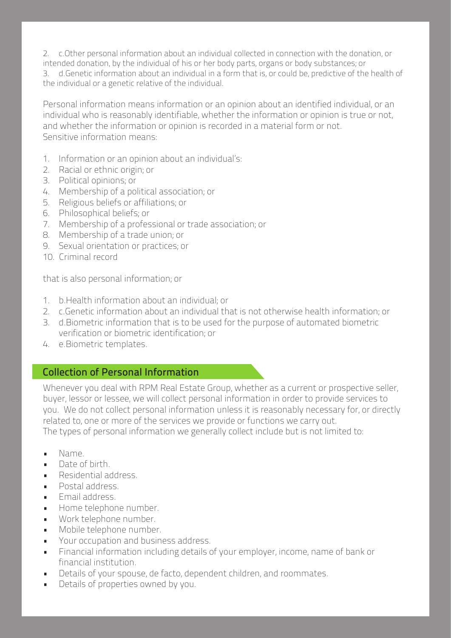2. c.Other personal information about an individual collected in connection with the donation, or

intended donation, by the individual of his or her body parts, organs or body substances; or 3. d.Genetic information about an individual in a form that is, or could be, predictive of the health of the individual or a genetic relative of the individual.

Personal information means information or an opinion about an identified individual, or an individual who is reasonably identifiable, whether the information or opinion is true or not, and whether the information or opinion is recorded in a material form or not. Sensitive information means:

- 1. Information or an opinion about an individual's:
- 2. Racial or ethnic origin; or
- 3. Political opinions; or
- 4. Membership of a political association; or
- 5. Religious beliefs or affiliations; or
- 6. Philosophical beliefs; or
- 7. Membership of a professional or trade association; or
- 8. Membership of a trade union; or
- 9. Sexual orientation or practices; or
- 10. Criminal record

that is also personal information; or

- 1. b.Health information about an individual; or
- 2. c.Genetic information about an individual that is not otherwise health information; or
- 3. d.Biometric information that is to be used for the purpose of automated biometric verification or biometric identification; or
- 4. e.Biometric templates.

## Collection of Personal Information

Whenever you deal with RPM Real Estate Group, whether as a current or prospective seller, buyer, lessor or lessee, we will collect personal information in order to provide services to you. We do not collect personal information unless it is reasonably necessary for, or directly related to, one or more of the services we provide or functions we carry out. The types of personal information we generally collect include but is not limited to:

- Name.
- Date of birth.
- Residential address.
- Postal address.
- Email address.
- Home telephone number.
- Work telephone number.
- Mobile telephone number.
- Your occupation and business address.
- Financial information including details of your employer, income, name of bank or financial institution.
- Details of your spouse, de facto, dependent children, and roommates.
- Details of properties owned by you.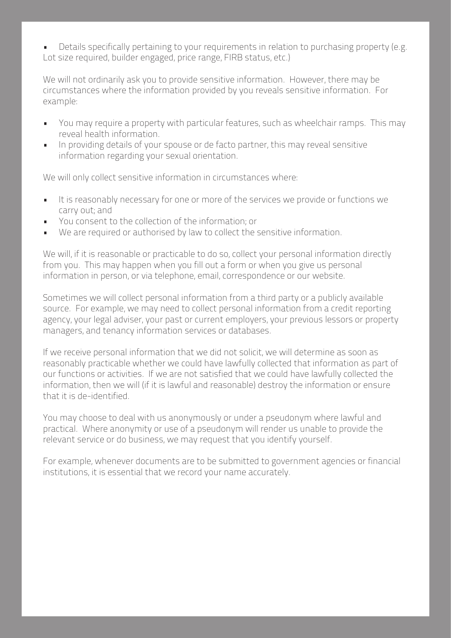• Details specifically pertaining to your requirements in relation to purchasing property (e.g. Lot size required, builder engaged, price range, FIRB status, etc.)

We will not ordinarily ask you to provide sensitive information. However, there may be circumstances where the information provided by you reveals sensitive information. For example:

- You may require a property with particular features, such as wheelchair ramps. This may reveal health information.
- In providing details of your spouse or de facto partner, this may reveal sensitive information regarding your sexual orientation.

We will only collect sensitive information in circumstances where:

- It is reasonably necessary for one or more of the services we provide or functions we carry out; and
- You consent to the collection of the information; or
- We are required or authorised by law to collect the sensitive information.

We will, if it is reasonable or practicable to do so, collect your personal information directly from you. This may happen when you fill out a form or when you give us personal information in person, or via telephone, email, correspondence or our website.

Sometimes we will collect personal information from a third party or a publicly available source. For example, we may need to collect personal information from a credit reporting agency, your legal adviser, your past or current employers, your previous lessors or property managers, and tenancy information services or databases.

If we receive personal information that we did not solicit, we will determine as soon as reasonably practicable whether we could have lawfully collected that information as part of our functions or activities. If we are not satisfied that we could have lawfully collected the information, then we will (if it is lawful and reasonable) destroy the information or ensure that it is de-identified.

You may choose to deal with us anonymously or under a pseudonym where lawful and practical. Where anonymity or use of a pseudonym will render us unable to provide the relevant service or do business, we may request that you identify yourself.

For example, whenever documents are to be submitted to government agencies or financial institutions, it is essential that we record your name accurately.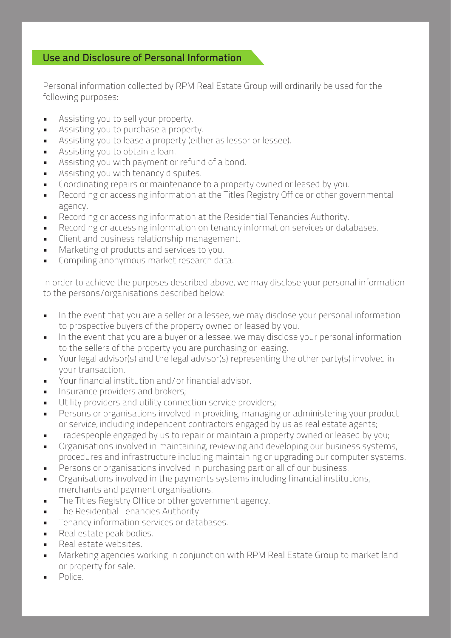## Use and Disclosure of Personal Information

Personal information collected by RPM Real Estate Group will ordinarily be used for the following purposes:

- Assisting you to sell your property.
- Assisting you to purchase a property.
- Assisting you to lease a property (either as lessor or lessee).
- Assisting you to obtain a loan.
- Assisting you with payment or refund of a bond.
- Assisting you with tenancy disputes.
- Coordinating repairs or maintenance to a property owned or leased by you.
- Recording or accessing information at the Titles Registry Office or other governmental agency.
- Recording or accessing information at the Residential Tenancies Authority.
- Recording or accessing information on tenancy information services or databases.
- Client and business relationship management.
- Marketing of products and services to you.
- Compiling anonymous market research data.

In order to achieve the purposes described above, we may disclose your personal information to the persons/organisations described below:

- In the event that you are a seller or a lessee, we may disclose your personal information to prospective buyers of the property owned or leased by you.
- In the event that you are a buyer or a lessee, we may disclose your personal information to the sellers of the property you are purchasing or leasing.
- Your legal advisor(s) and the legal advisor(s) representing the other party(s) involved in your transaction.
- Your financial institution and/or financial advisor.
- **Insurance providers and brokers;**
- Utility providers and utility connection service providers;
- Persons or organisations involved in providing, managing or administering your product or service, including independent contractors engaged by us as real estate agents;
- Tradespeople engaged by us to repair or maintain a property owned or leased by you;
- Organisations involved in maintaining, reviewing and developing our business systems, procedures and infrastructure including maintaining or upgrading our computer systems.
- Persons or organisations involved in purchasing part or all of our business.
- Organisations involved in the payments systems including financial institutions, merchants and payment organisations.
- The Titles Registry Office or other government agency.
- The Residential Tenancies Authority.
- Tenancy information services or databases.
- Real estate peak bodies.
- Real estate websites.
- Marketing agencies working in conjunction with RPM Real Estate Group to market land or property for sale.
- Police.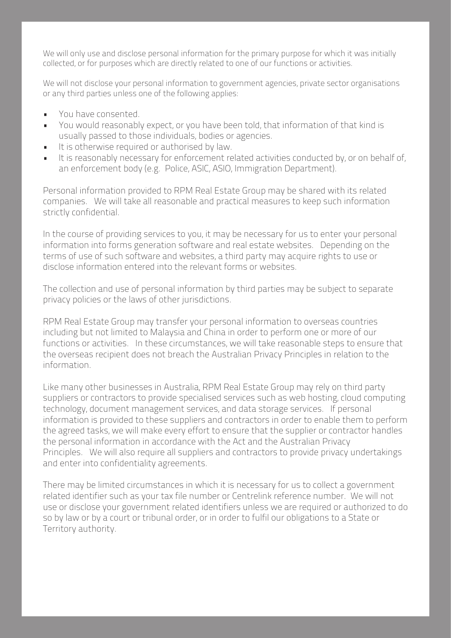We will only use and disclose personal information for the primary purpose for which it was initially collected, or for purposes which are directly related to one of our functions or activities.

We will not disclose your personal information to government agencies, private sector organisations or any third parties unless one of the following applies:

- You have consented.
- You would reasonably expect, or you have been told, that information of that kind is usually passed to those individuals, bodies or agencies.
- It is otherwise required or authorised by law.
- It is reasonably necessary for enforcement related activities conducted by, or on behalf of, an enforcement body (e.g. Police, ASIC, ASIO, Immigration Department).

Personal information provided to RPM Real Estate Group may be shared with its related companies. We will take all reasonable and practical measures to keep such information strictly confidential.

In the course of providing services to you, it may be necessary for us to enter your personal information into forms generation software and real estate websites. Depending on the terms of use of such software and websites, a third party may acquire rights to use or disclose information entered into the relevant forms or websites.

The collection and use of personal information by third parties may be subject to separate privacy policies or the laws of other jurisdictions.

RPM Real Estate Group may transfer your personal information to overseas countries including but not limited to Malaysia and China in order to perform one or more of our functions or activities. In these circumstances, we will take reasonable steps to ensure that the overseas recipient does not breach the Australian Privacy Principles in relation to the information.

Like many other businesses in Australia, RPM Real Estate Group may rely on third party suppliers or contractors to provide specialised services such as web hosting, cloud computing technology, document management services, and data storage services. If personal information is provided to these suppliers and contractors in order to enable them to perform the agreed tasks, we will make every effort to ensure that the supplier or contractor handles the personal information in accordance with the Act and the Australian Privacy Principles. We will also require all suppliers and contractors to provide privacy undertakings and enter into confidentiality agreements.

There may be limited circumstances in which it is necessary for us to collect a government related identifier such as your tax file number or Centrelink reference number. We will not use or disclose your government related identifiers unless we are required or authorized to do so by law or by a court or tribunal order, or in order to fulfil our obligations to a State or Territory authority.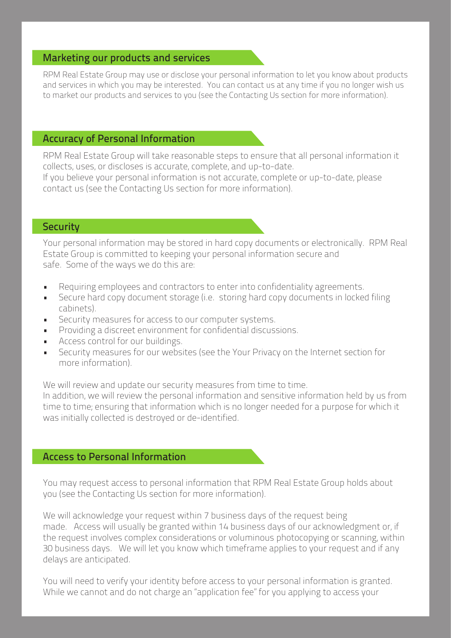#### Marketing our products and services

RPM Real Estate Group may use or disclose your personal information to let you know about products and services in which you may be interested. You can contact us at any time if you no longer wish us to market our products and services to you (see the Contacting Us section for more information).

## Accuracy of Personal Information

RPM Real Estate Group will take reasonable steps to ensure that all personal information it collects, uses, or discloses is accurate, complete, and up-to-date.

If you believe your personal information is not accurate, complete or up-to-date, please contact us (see the Contacting Us section for more information).

#### **Security**

Your personal information may be stored in hard copy documents or electronically. RPM Real Estate Group is committed to keeping your personal information secure and safe. Some of the ways we do this are:

- Requiring employees and contractors to enter into confidentiality agreements.
- Secure hard copy document storage (i.e. storing hard copy documents in locked filing cabinets).
- Security measures for access to our computer systems.
- Providing a discreet environment for confidential discussions.
- Access control for our buildings.
- Security measures for our websites (see the Your Privacy on the Internet section for more information).

We will review and update our security measures from time to time.

In addition, we will review the personal information and sensitive information held by us from time to time; ensuring that information which is no longer needed for a purpose for which it was initially collected is destroyed or de-identified.

#### Access to Personal Information

You may request access to personal information that RPM Real Estate Group holds about you (see the Contacting Us section for more information).

We will acknowledge your request within 7 business days of the request being made. Access will usually be granted within 14 business days of our acknowledgment or, if the request involves complex considerations or voluminous photocopying or scanning, within 30 business days. We will let you know which timeframe applies to your request and if any delays are anticipated.

You will need to verify your identity before access to your personal information is granted. While we cannot and do not charge an "application fee" for you applying to access your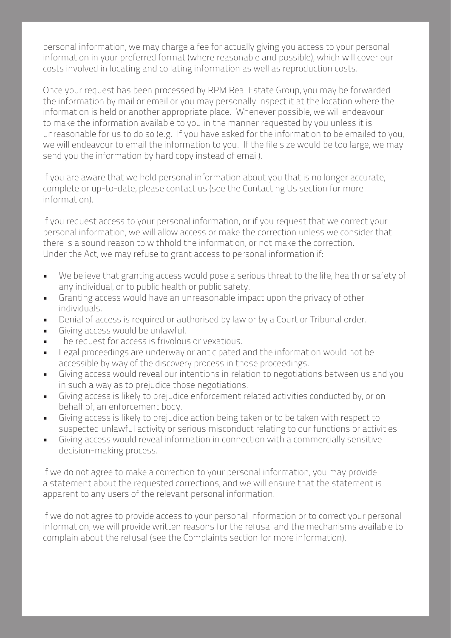personal information, we may charge a fee for actually giving you access to your personal information in your preferred format (where reasonable and possible), which will cover our costs involved in locating and collating information as well as reproduction costs.

Once your request has been processed by RPM Real Estate Group, you may be forwarded the information by mail or email or you may personally inspect it at the location where the information is held or another appropriate place. Whenever possible, we will endeavour to make the information available to you in the manner requested by you unless it is unreasonable for us to do so (e.g. If you have asked for the information to be emailed to you, we will endeavour to email the information to you. If the file size would be too large, we may send you the information by hard copy instead of email).

If you are aware that we hold personal information about you that is no longer accurate, complete or up-to-date, please contact us (see the Contacting Us section for more information).

If you request access to your personal information, or if you request that we correct your personal information, we will allow access or make the correction unless we consider that there is a sound reason to withhold the information, or not make the correction. Under the Act, we may refuse to grant access to personal information if:

- We believe that granting access would pose a serious threat to the life, health or safety of any individual, or to public health or public safety.
- Granting access would have an unreasonable impact upon the privacy of other individuals.
- Denial of access is required or authorised by law or by a Court or Tribunal order.
- Giving access would be unlawful.
- The request for access is frivolous or vexatious.
- Legal proceedings are underway or anticipated and the information would not be accessible by way of the discovery process in those proceedings.
- Giving access would reveal our intentions in relation to negotiations between us and you in such a way as to prejudice those negotiations.
- Giving access is likely to prejudice enforcement related activities conducted by, or on behalf of, an enforcement body.
- Giving access is likely to prejudice action being taken or to be taken with respect to suspected unlawful activity or serious misconduct relating to our functions or activities.
- Giving access would reveal information in connection with a commercially sensitive decision-making process.

If we do not agree to make a correction to your personal information, you may provide a statement about the requested corrections, and we will ensure that the statement is apparent to any users of the relevant personal information.

If we do not agree to provide access to your personal information or to correct your personal information, we will provide written reasons for the refusal and the mechanisms available to complain about the refusal (see the Complaints section for more information).